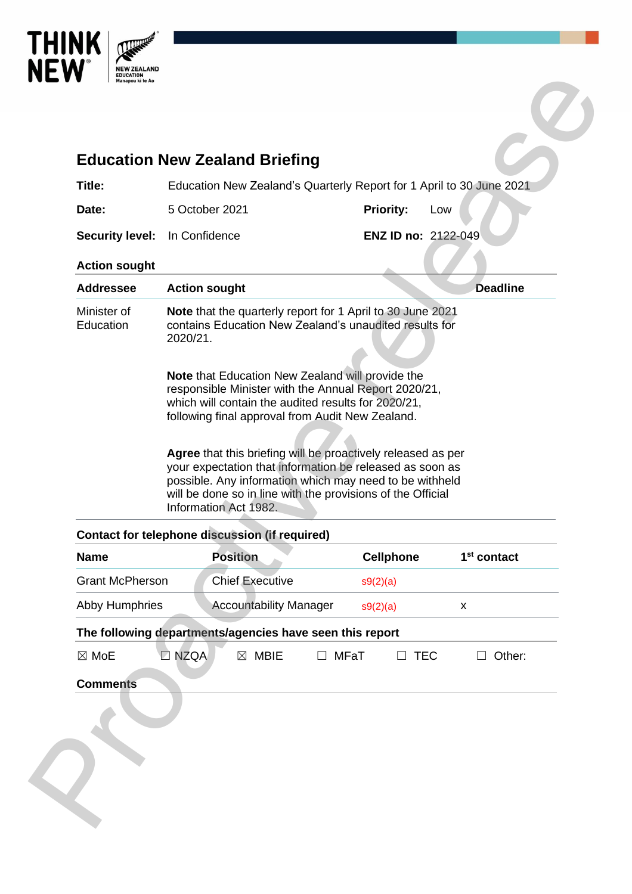

| <b>Education New Zealand Briefing</b>                                                                                                                                                                  |                                                                      |                        |                                                                                                                                                                                                                                                                                                                                                                                                                       |             |                     |            |                         |
|--------------------------------------------------------------------------------------------------------------------------------------------------------------------------------------------------------|----------------------------------------------------------------------|------------------------|-----------------------------------------------------------------------------------------------------------------------------------------------------------------------------------------------------------------------------------------------------------------------------------------------------------------------------------------------------------------------------------------------------------------------|-------------|---------------------|------------|-------------------------|
| Title:                                                                                                                                                                                                 | Education New Zealand's Quarterly Report for 1 April to 30 June 2021 |                        |                                                                                                                                                                                                                                                                                                                                                                                                                       |             |                     |            |                         |
| Date:                                                                                                                                                                                                  | 5 October 2021                                                       |                        |                                                                                                                                                                                                                                                                                                                                                                                                                       |             | <b>Priority:</b>    | Low        |                         |
| <b>Security level:</b>                                                                                                                                                                                 | In Confidence                                                        |                        |                                                                                                                                                                                                                                                                                                                                                                                                                       |             | ENZ ID no: 2122-049 |            |                         |
| <b>Action sought</b>                                                                                                                                                                                   |                                                                      |                        |                                                                                                                                                                                                                                                                                                                                                                                                                       |             |                     |            |                         |
| <b>Addressee</b>                                                                                                                                                                                       | <b>Action sought</b>                                                 |                        |                                                                                                                                                                                                                                                                                                                                                                                                                       |             |                     |            | <b>Deadline</b>         |
|                                                                                                                                                                                                        | 2020/21.                                                             |                        | <b>Note that Education New Zealand will provide the</b>                                                                                                                                                                                                                                                                                                                                                               |             |                     |            |                         |
|                                                                                                                                                                                                        |                                                                      |                        | responsible Minister with the Annual Report 2020/21,<br>which will contain the audited results for 2020/21,<br>following final approval from Audit New Zealand.<br>Agree that this briefing will be proactively released as per<br>your expectation that information be released as soon as<br>possible. Any information which may need to be withheld<br>will be done so in line with the provisions of the Official |             |                     |            |                         |
|                                                                                                                                                                                                        |                                                                      | Information Act 1982.  |                                                                                                                                                                                                                                                                                                                                                                                                                       |             |                     |            |                         |
|                                                                                                                                                                                                        |                                                                      | <b>Position</b>        |                                                                                                                                                                                                                                                                                                                                                                                                                       |             | <b>Cellphone</b>    |            | 1 <sup>st</sup> contact |
|                                                                                                                                                                                                        |                                                                      | <b>Chief Executive</b> |                                                                                                                                                                                                                                                                                                                                                                                                                       | s9(2)(a)    |                     |            |                         |
|                                                                                                                                                                                                        |                                                                      |                        | <b>Accountability Manager</b>                                                                                                                                                                                                                                                                                                                                                                                         | s9(2)(a)    |                     | X          |                         |
|                                                                                                                                                                                                        |                                                                      |                        |                                                                                                                                                                                                                                                                                                                                                                                                                       |             |                     |            |                         |
| <b>Contact for telephone discussion (if required)</b><br><b>Name</b><br><b>Grant McPherson</b><br><b>Abby Humphries</b><br>The following departments/agencies have seen this report<br>$\boxtimes$ MoE | <b>DI NZQA</b>                                                       | $\boxtimes$            | <b>MBIE</b>                                                                                                                                                                                                                                                                                                                                                                                                           | <b>MFaT</b> | $\Box$              | <b>TEC</b> | Other:<br>$\Box$        |

| <b>Grant McPherson</b>                                   |                | <b>Chief Executive</b>        |                 | s9(2)(a) |        |  |  |  |  |  |
|----------------------------------------------------------|----------------|-------------------------------|-----------------|----------|--------|--|--|--|--|--|
| <b>Abby Humphries</b>                                    |                | <b>Accountability Manager</b> |                 | s9(2)(a) | х      |  |  |  |  |  |
| The following departments/agencies have seen this report |                |                               |                 |          |        |  |  |  |  |  |
| $\boxtimes$ MoE                                          | $\square$ NZQA | MBIE<br>M                     | MFaT<br>$\perp$ | TFC.     | Other: |  |  |  |  |  |
| <b>Comments</b>                                          |                |                               |                 |          |        |  |  |  |  |  |
|                                                          |                |                               |                 |          |        |  |  |  |  |  |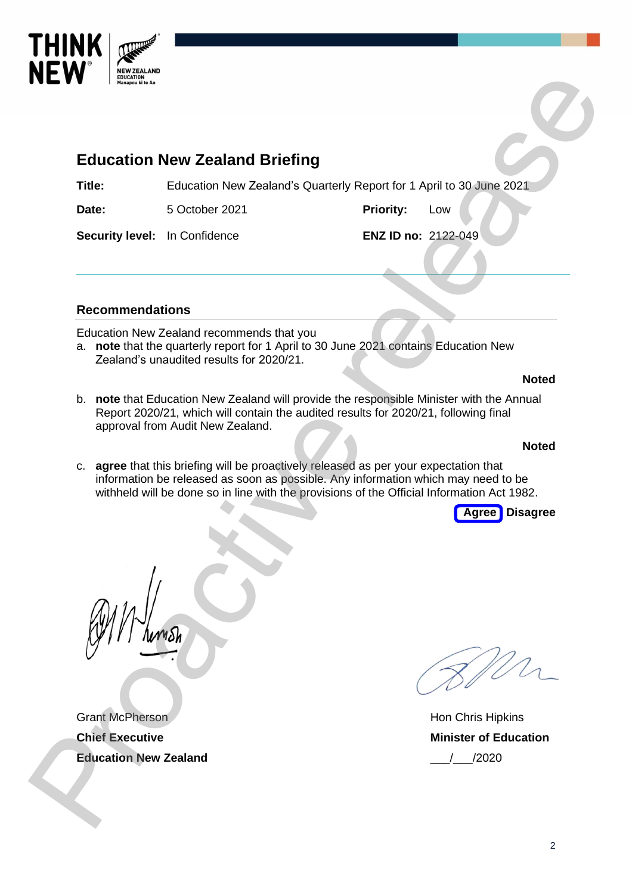

# **Education New Zealand Briefing**

**Title:** Education New Zealand's Quarterly Report for 1 April to 30 June 2021

**Date:** 5 October 2021 **Priority:** Low

**Security level:** In Confidence **ENZ ID no:** 2122-049

# **Recommendations**

Education New Zealand recommends that you

a. **note** that the quarterly report for 1 April to 30 June 2021 contains Education New Zealand's unaudited results for 2020/21.

### **Noted**

b. **note** that Education New Zealand will provide the responsible Minister with the Annual Report 2020/21, which will contain the audited results for 2020/21, following final approval from Audit New Zealand. **Processor Control Control Control Control Control Control Control Control Control Control Control Control Control Control Control Control Control Control Control Control Control Control Control Control Control Control Co** 

### **Noted**

c. **agree** that this briefing will be proactively released as per your expectation that information be released as soon as possible. Any information which may need to be withheld will be done so in line with the provisions of the Official Information Act 1982.



Grant McPherson **Chief Executive Education New Zealand**

Hon Chris Hipkins **Minister of Education** \_\_\_/\_\_\_/2020